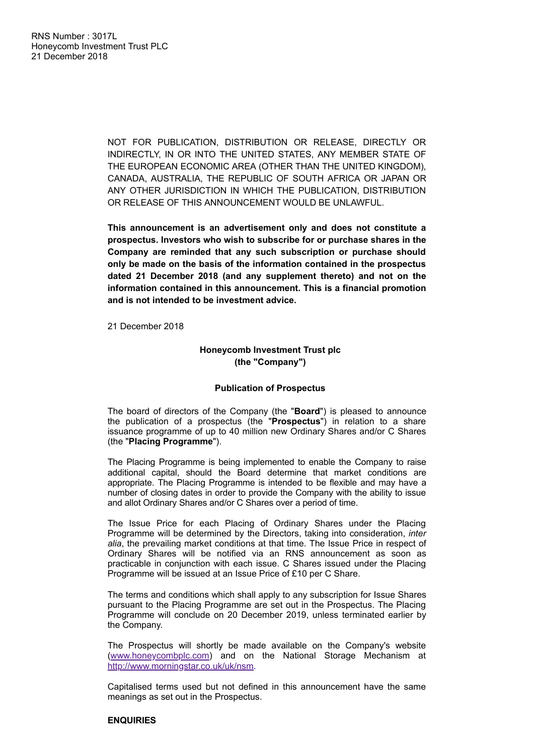NOT FOR PUBLICATION, DISTRIBUTION OR RELEASE, DIRECTLY OR INDIRECTLY, IN OR INTO THE UNITED STATES, ANY MEMBER STATE OF THE EUROPEAN ECONOMIC AREA (OTHER THAN THE UNITED KINGDOM), CANADA, AUSTRALIA, THE REPUBLIC OF SOUTH AFRICA OR JAPAN OR ANY OTHER JURISDICTION IN WHICH THE PUBLICATION, DISTRIBUTION OR RELEASE OF THIS ANNOUNCEMENT WOULD BE UNLAWFUL.

**This announcement is an advertisement only and does not constitute a prospectus. Investors who wish to subscribe for or purchase shares in the Company are reminded that any such subscription or purchase should only be made on the basis of the information contained in the prospectus dated 21 December 2018 (and any supplement thereto) and not on the information contained in this announcement. This is a financial promotion and is not intended to be investment advice.**

21 December 2018

# **Honeycomb Investment Trust plc (the "Company")**

#### **Publication of Prospectus**

The board of directors of the Company (the "**Board**") is pleased to announce the publication of a prospectus (the "**Prospectus**") in relation to a share issuance programme of up to 40 million new Ordinary Shares and/or C Shares (the "**Placing Programme**").

The Placing Programme is being implemented to enable the Company to raise additional capital, should the Board determine that market conditions are appropriate. The Placing Programme is intended to be flexible and may have a number of closing dates in order to provide the Company with the ability to issue and allot Ordinary Shares and/or C Shares over a period of time.

The Issue Price for each Placing of Ordinary Shares under the Placing Programme will be determined by the Directors, taking into consideration, *inter alia*, the prevailing market conditions at that time. The Issue Price in respect of Ordinary Shares will be notified via an RNS announcement as soon as practicable in conjunction with each issue. C Shares issued under the Placing Programme will be issued at an Issue Price of £10 per C Share.

The terms and conditions which shall apply to any subscription for Issue Shares pursuant to the Placing Programme are set out in the Prospectus. The Placing Programme will conclude on 20 December 2019, unless terminated earlier by the Company.

The Prospectus will shortly be made available on the Company's website ([www.honeycombplc.com](http://www.honeycombplc.com/)) and on the National Storage Mechanism at [http://www.morningstar.co.uk/uk/nsm.](http://www.morningstar.co.uk/uk/nsm)

Capitalised terms used but not defined in this announcement have the same meanings as set out in the Prospectus.

# **ENQUIRIES**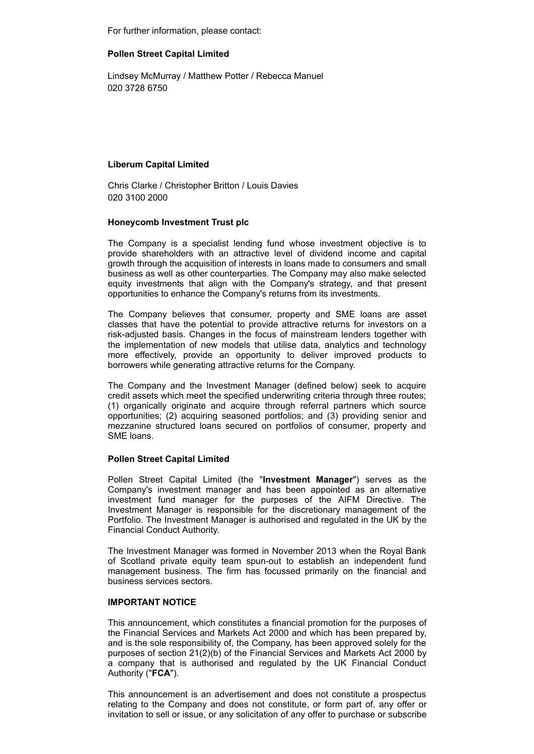For further information, please contact:

# **Pollen Street Capital Limited**

Lindsey McMurray / Matthew Potter / Rebecca Manuel 020 3728 6750

### **Liberum Capital Limited**

Chris Clarke / Christopher Britton / Louis Davies 020 3100 2000

### **Honeycomb Investment Trust plc**

The Company is a specialist lending fund whose investment objective is to provide shareholders with an attractive level of dividend income and capital growth through the acquisition of interests in loans made to consumers and small business as well as other counterparties. The Company may also make selected equity investments that align with the Company's strategy, and that present opportunities to enhance the Company's returns from its investments.

The Company believes that consumer, property and SME loans are asset classes that have the potential to provide attractive returns for investors on a risk-adjusted basis. Changes in the focus of mainstream lenders together with the implementation of new models that utilise data, analytics and technology more effectively, provide an opportunity to deliver improved products to borrowers while generating attractive returns for the Company.

The Company and the Investment Manager (defined below) seek to acquire credit assets which meet the specified underwriting criteria through three routes; (1) organically originate and acquire through referral partners which source opportunities; (2) acquiring seasoned portfolios; and (3) providing senior and mezzanine structured loans secured on portfolios of consumer, property and SME loans.

# **Pollen Street Capital Limited**

Pollen Street Capital Limited (the "**Investment Manager**") serves as the Company's investment manager and has been appointed as an alternative investment fund manager for the purposes of the AIFM Directive. The Investment Manager is responsible for the discretionary management of the Portfolio. The Investment Manager is authorised and regulated in the UK by the Financial Conduct Authority.

The Investment Manager was formed in November 2013 when the Royal Bank of Scotland private equity team spun-out to establish an independent fund management business. The firm has focussed primarily on the financial and business services sectors.

# **IMPORTANT NOTICE**

This announcement, which constitutes a financial promotion for the purposes of the Financial Services and Markets Act 2000 and which has been prepared by, and is the sole responsibility of, the Company, has been approved solely for the purposes of section 21(2)(b) of the Financial Services and Markets Act 2000 by a company that is authorised and regulated by the UK Financial Conduct Authority ("**FCA**").

This announcement is an advertisement and does not constitute a prospectus relating to the Company and does not constitute, or form part of, any offer or invitation to sell or issue, or any solicitation of any offer to purchase or subscribe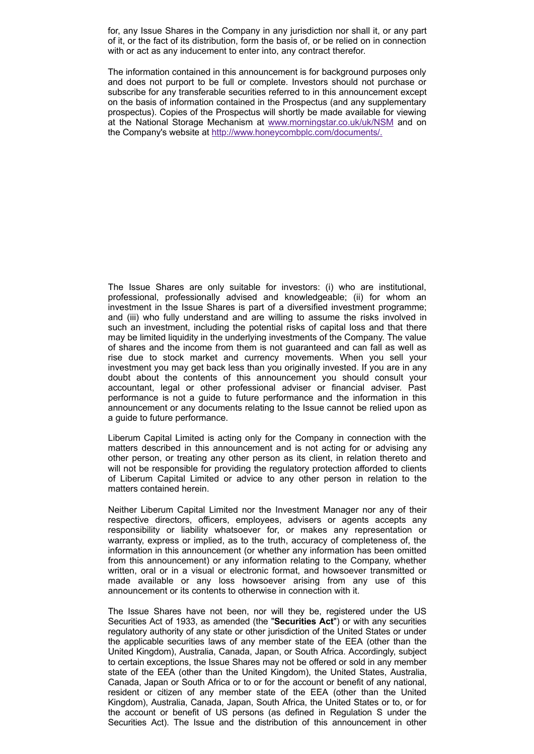for, any Issue Shares in the Company in any jurisdiction nor shall it, or any part of it, or the fact of its distribution, form the basis of, or be relied on in connection with or act as any inducement to enter into, any contract therefor.

The information contained in this announcement is for background purposes only and does not purport to be full or complete. Investors should not purchase or subscribe for any transferable securities referred to in this announcement except on the basis of information contained in the Prospectus (and any supplementary prospectus). Copies of the Prospectus will shortly be made available for viewing at the National Storage Mechanism at [www.morningstar.co.uk/uk/NSM](http://www.morningstar.co.uk/uk/NSM) and on the Company's website at [http://www.honeycombplc.com/documents/.](http://www.honeycombplc.com/documents/)

The Issue Shares are only suitable for investors: (i) who are institutional, professional, professionally advised and knowledgeable; (ii) for whom an investment in the Issue Shares is part of a diversified investment programme; and (iii) who fully understand and are willing to assume the risks involved in such an investment, including the potential risks of capital loss and that there may be limited liquidity in the underlying investments of the Company. The value of shares and the income from them is not guaranteed and can fall as well as rise due to stock market and currency movements. When you sell your investment you may get back less than you originally invested. If you are in any doubt about the contents of this announcement you should consult your accountant, legal or other professional adviser or financial adviser. Past performance is not a guide to future performance and the information in this announcement or any documents relating to the Issue cannot be relied upon as a guide to future performance.

Liberum Capital Limited is acting only for the Company in connection with the matters described in this announcement and is not acting for or advising any other person, or treating any other person as its client, in relation thereto and will not be responsible for providing the regulatory protection afforded to clients of Liberum Capital Limited or advice to any other person in relation to the matters contained herein.

Neither Liberum Capital Limited nor the Investment Manager nor any of their respective directors, officers, employees, advisers or agents accepts any responsibility or liability whatsoever for, or makes any representation or warranty, express or implied, as to the truth, accuracy of completeness of, the information in this announcement (or whether any information has been omitted from this announcement) or any information relating to the Company, whether written, oral or in a visual or electronic format, and howsoever transmitted or made available or any loss howsoever arising from any use of this announcement or its contents to otherwise in connection with it.

The Issue Shares have not been, nor will they be, registered under the US Securities Act of 1933, as amended (the "**Securities Act**") or with any securities regulatory authority of any state or other jurisdiction of the United States or under the applicable securities laws of any member state of the EEA (other than the United Kingdom), Australia, Canada, Japan, or South Africa. Accordingly, subject to certain exceptions, the Issue Shares may not be offered or sold in any member state of the EEA (other than the United Kingdom), the United States, Australia, Canada, Japan or South Africa or to or for the account or benefit of any national, resident or citizen of any member state of the EEA (other than the United Kingdom), Australia, Canada, Japan, South Africa, the United States or to, or for the account or benefit of US persons (as defined in Regulation S under the Securities Act). The Issue and the distribution of this announcement in other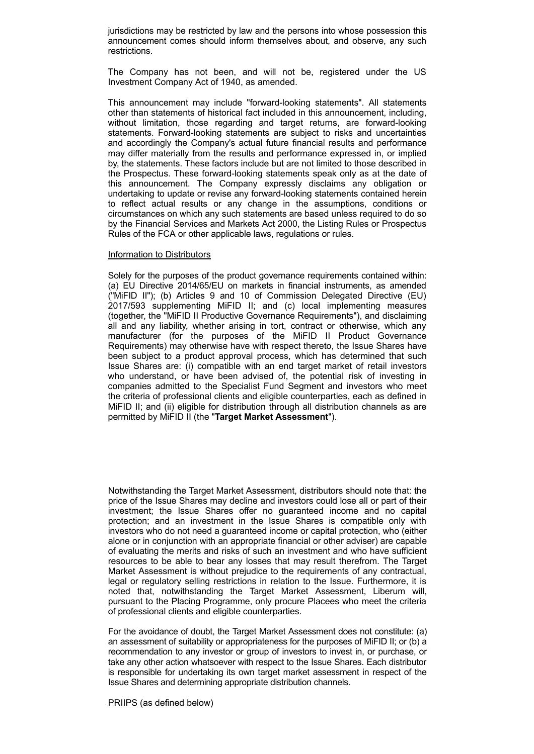jurisdictions may be restricted by law and the persons into whose possession this announcement comes should inform themselves about, and observe, any such restrictions.

The Company has not been, and will not be, registered under the US Investment Company Act of 1940, as amended.

This announcement may include "forward-looking statements". All statements other than statements of historical fact included in this announcement, including, without limitation, those regarding and target returns, are forward-looking statements. Forward-looking statements are subject to risks and uncertainties and accordingly the Company's actual future financial results and performance may differ materially from the results and performance expressed in, or implied by, the statements. These factors include but are not limited to those described in the Prospectus. These forward-looking statements speak only as at the date of this announcement. The Company expressly disclaims any obligation or undertaking to update or revise any forward-looking statements contained herein to reflect actual results or any change in the assumptions, conditions or circumstances on which any such statements are based unless required to do so by the Financial Services and Markets Act 2000, the Listing Rules or Prospectus Rules of the FCA or other applicable laws, regulations or rules.

#### Information to Distributors

Solely for the purposes of the product governance requirements contained within: (a) EU Directive 2014/65/EU on markets in financial instruments, as amended ("MiFID II"); (b) Articles 9 and 10 of Commission Delegated Directive (EU) 2017/593 supplementing MiFID II; and (c) local implementing measures (together, the "MiFID II Productive Governance Requirements"), and disclaiming all and any liability, whether arising in tort, contract or otherwise, which any manufacturer (for the purposes of the MiFID II Product Governance Requirements) may otherwise have with respect thereto, the Issue Shares have been subject to a product approval process, which has determined that such Issue Shares are: (i) compatible with an end target market of retail investors who understand, or have been advised of, the potential risk of investing in companies admitted to the Specialist Fund Segment and investors who meet the criteria of professional clients and eligible counterparties, each as defined in MiFID II; and (ii) eligible for distribution through all distribution channels as are permitted by MiFID II (the "**Target Market Assessment**").

Notwithstanding the Target Market Assessment, distributors should note that: the price of the Issue Shares may decline and investors could lose all or part of their investment; the Issue Shares offer no guaranteed income and no capital protection; and an investment in the Issue Shares is compatible only with investors who do not need a guaranteed income or capital protection, who (either alone or in conjunction with an appropriate financial or other adviser) are capable of evaluating the merits and risks of such an investment and who have sufficient resources to be able to bear any losses that may result therefrom. The Target Market Assessment is without prejudice to the requirements of any contractual, legal or regulatory selling restrictions in relation to the Issue. Furthermore, it is noted that, notwithstanding the Target Market Assessment, Liberum will, pursuant to the Placing Programme, only procure Placees who meet the criteria of professional clients and eligible counterparties.

For the avoidance of doubt, the Target Market Assessment does not constitute: (a) an assessment of suitability or appropriateness for the purposes of MiFID II; or (b) a recommendation to any investor or group of investors to invest in, or purchase, or take any other action whatsoever with respect to the Issue Shares. Each distributor is responsible for undertaking its own target market assessment in respect of the Issue Shares and determining appropriate distribution channels.

#### PRIIPS (as defined below)